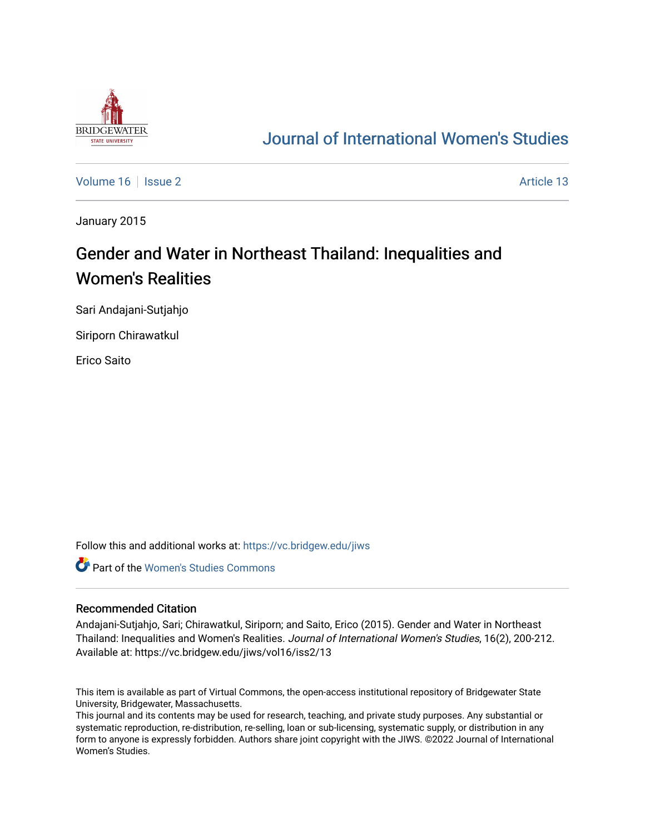

# [Journal of International Women's Studies](https://vc.bridgew.edu/jiws)

[Volume 16](https://vc.bridgew.edu/jiws/vol16) September 2 Article 13

January 2015

# Gender and Water in Northeast Thailand: Inequalities and Women's Realities

Sari Andajani-Sutjahjo

Siriporn Chirawatkul

Erico Saito

Follow this and additional works at: [https://vc.bridgew.edu/jiws](https://vc.bridgew.edu/jiws?utm_source=vc.bridgew.edu%2Fjiws%2Fvol16%2Fiss2%2F13&utm_medium=PDF&utm_campaign=PDFCoverPages)

**C** Part of the Women's Studies Commons

#### Recommended Citation

Andajani-Sutjahjo, Sari; Chirawatkul, Siriporn; and Saito, Erico (2015). Gender and Water in Northeast Thailand: Inequalities and Women's Realities. Journal of International Women's Studies, 16(2), 200-212. Available at: https://vc.bridgew.edu/jiws/vol16/iss2/13

This item is available as part of Virtual Commons, the open-access institutional repository of Bridgewater State University, Bridgewater, Massachusetts.

This journal and its contents may be used for research, teaching, and private study purposes. Any substantial or systematic reproduction, re-distribution, re-selling, loan or sub-licensing, systematic supply, or distribution in any form to anyone is expressly forbidden. Authors share joint copyright with the JIWS. ©2022 Journal of International Women's Studies.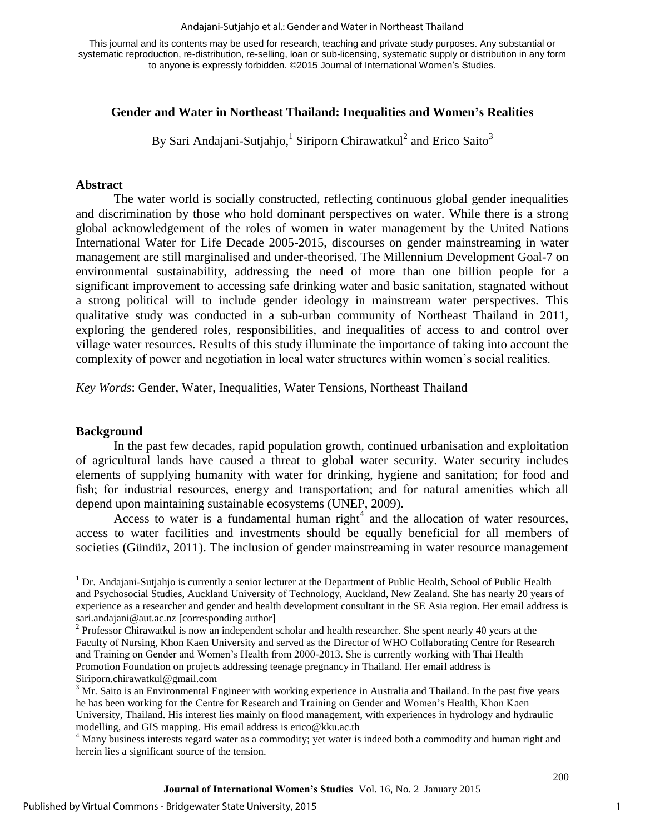#### Andajani-Sutjahjo et al.: Gender and Water in Northeast Thailand

This journal and its contents may be used for research, teaching and private study purposes. Any substantial or systematic reproduction, re-distribution, re-selling, loan or sub-licensing, systematic supply or distribution in any form to anyone is expressly forbidden. ©2015 Journal of International Women's Studies.

### **Gender and Water in Northeast Thailand: Inequalities and Women's Realities**

By Sari Andajani-Sutjahjo, <sup>1</sup> Siriporn Chirawatkul<sup>2</sup> and Erico Saito<sup>3</sup>

#### **Abstract**

The water world is socially constructed, reflecting continuous global gender inequalities and discrimination by those who hold dominant perspectives on water. While there is a strong global acknowledgement of the roles of women in water management by the United Nations International Water for Life Decade 2005-2015, discourses on gender mainstreaming in water management are still marginalised and under-theorised. The Millennium Development Goal-7 on environmental sustainability, addressing the need of more than one billion people for a significant improvement to accessing safe drinking water and basic sanitation, stagnated without a strong political will to include gender ideology in mainstream water perspectives. This qualitative study was conducted in a sub-urban community of Northeast Thailand in 2011, exploring the gendered roles, responsibilities, and inequalities of access to and control over village water resources. Results of this study illuminate the importance of taking into account the complexity of power and negotiation in local water structures within women's social realities.

*Key Words*: Gender, Water, Inequalities, Water Tensions, Northeast Thailand

### **Background**

 $\overline{a}$ 

In the past few decades, rapid population growth, continued urbanisation and exploitation of agricultural lands have caused a threat to global water security. Water security includes elements of supplying humanity with water for drinking, hygiene and sanitation; for food and fish; for industrial resources, energy and transportation; and for natural amenities which all depend upon maintaining sustainable ecosystems [\(UNEP, 2009\)](#page-12-0).

Access to water is a fundamental human right<sup>4</sup> and the allocation of water resources, access to water facilities and investments should be equally beneficial for all members of societies [\(Gündüz, 2011\)](#page-12-1). The inclusion of gender mainstreaming in water resource management

<sup>&</sup>lt;sup>1</sup> Dr. Andajani-Sutjahjo is currently a senior lecturer at the Department of Public Health, School of Public Health and Psychosocial Studies, Auckland University of Technology, Auckland, New Zealand. She has nearly 20 years of experience as a researcher and gender and health development consultant in the SE Asia region. Her email address is sari.andajani@aut.ac.nz [corresponding author]

 $2^{2}$  Professor Chirawatkul is now an independent scholar and health researcher. She spent nearly 40 years at the Faculty of Nursing, Khon Kaen University and served as the Director of WHO Collaborating Centre for Research and Training on Gender and Women's Health from 2000-2013. She is currently working with Thai Health Promotion Foundation on projects addressing teenage pregnancy in Thailand. Her email address is Siriporn.chirawatkul@gmail.com

<sup>&</sup>lt;sup>3</sup> Mr. Saito is an Environmental Engineer with working experience in Australia and Thailand. In the past five years he has been working for the Centre for Research and Training on Gender and Women's Health, Khon Kaen University, Thailand. His interest lies mainly on flood management, with experiences in hydrology and hydraulic modelling, and GIS mapping. His email address is erico@kku.ac.th

<sup>&</sup>lt;sup>4</sup> Many business interests regard water as a commodity; yet water is indeed both a commodity and human right and herein lies a significant source of the tension.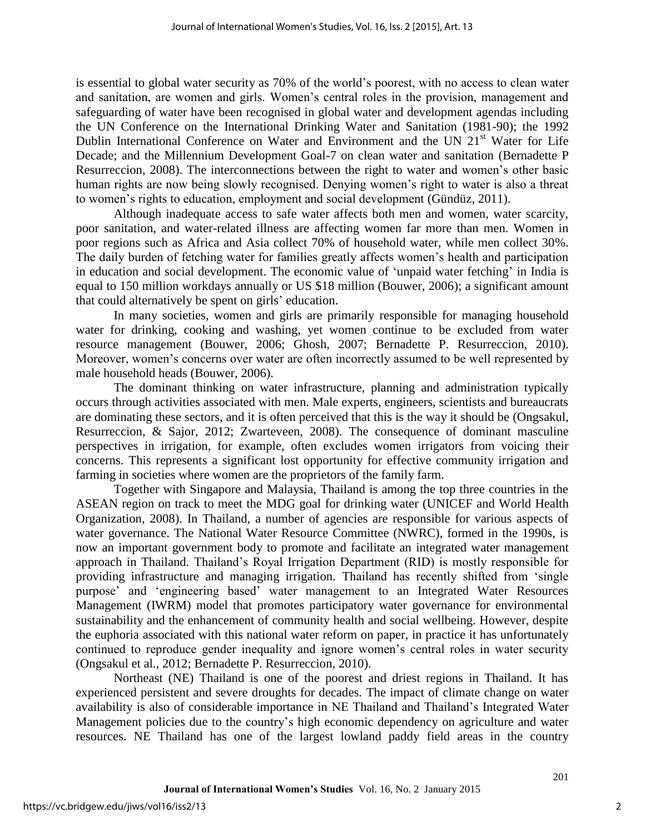is essential to global water security as 70% of the world's poorest, with no access to clean water and sanitation, are women and girls. Women's central roles in the provision, management and safeguarding of water have been recognised in global water and development agendas including the UN Conference on the International Drinking Water and Sanitation (1981-90); the 1992 Dublin International Conference on Water and Environment and the UN 21<sup>st</sup> Water for Life Decade; and the Millennium Development Goal-7 on clean water and sanitation [\(Bernadette P](#page-12-2)  [Resurreccion, 2008\)](#page-12-2). The interconnections between the right to water and women's other basic human rights are now being slowly recognised. Denying women's right to water is also a threat to women's rights to education, employment and social development [\(Gündüz, 2011\)](#page-12-1).

Although inadequate access to safe water affects both men and women, water scarcity, poor sanitation, and water-related illness are affecting women far more than men. Women in poor regions such as Africa and Asia collect 70% of household water, while men collect 30%. The daily burden of fetching water for families greatly affects women's health and participation in education and social development. The economic value of 'unpaid water fetching' in India is equal to 150 million workdays annually or US \$18 million [\(Bouwer, 2006\)](#page-12-3); a significant amount that could alternatively be spent on girls' education.

In many societies, women and girls are primarily responsible for managing household water for drinking, cooking and washing, yet women continue to be excluded from water resource management [\(Bouwer, 2006;](#page-12-3) [Ghosh, 2007;](#page-12-4) [Bernadette P. Resurreccion, 2010\)](#page-12-5). Moreover, women's concerns over water are often incorrectly assumed to be well represented by male household heads [\(Bouwer, 2006\)](#page-12-3).

The dominant thinking on water infrastructure, planning and administration typically occurs through activities associated with men. Male experts, engineers, scientists and bureaucrats are dominating these sectors, and it is often perceived that this is the way it should be [\(Ongsakul,](#page-12-6)  [Resurreccion, & Sajor, 2012;](#page-12-6) [Zwarteveen, 2008\)](#page-13-0). The consequence of dominant masculine perspectives in irrigation, for example, often excludes women irrigators from voicing their concerns. This represents a significant lost opportunity for effective community irrigation and farming in societies where women are the proprietors of the family farm.

Together with Singapore and Malaysia, Thailand is among the top three countries in the ASEAN region on track to meet the MDG goal for drinking water [\(UNICEF and World Health](#page-13-1)  [Organization, 2008\)](#page-13-1). In Thailand, a number of agencies are responsible for various aspects of water governance. The National Water Resource Committee (NWRC), formed in the 1990s, is now an important government body to promote and facilitate an integrated water management approach in Thailand. Thailand's Royal Irrigation Department (RID) is mostly responsible for providing infrastructure and managing irrigation. Thailand has recently shifted from 'single purpose' and 'engineering based' water management to an Integrated Water Resources Management (IWRM) model that promotes participatory water governance for environmental sustainability and the enhancement of community health and social wellbeing. However, despite the euphoria associated with this national water reform on paper, in practice it has unfortunately continued to reproduce gender inequality and ignore women's central roles in water security [\(Ongsakul et al., 2012;](#page-12-6) [Bernadette P. Resurreccion, 2010\)](#page-12-5).

Northeast (NE) Thailand is one of the poorest and driest regions in Thailand. It has experienced persistent and severe droughts for decades. The impact of climate change on water availability is also of considerable importance in NE Thailand and Thailand's Integrated Water Management policies due to the country's high economic dependency on agriculture and water resources. NE Thailand has one of the largest lowland paddy field areas in the country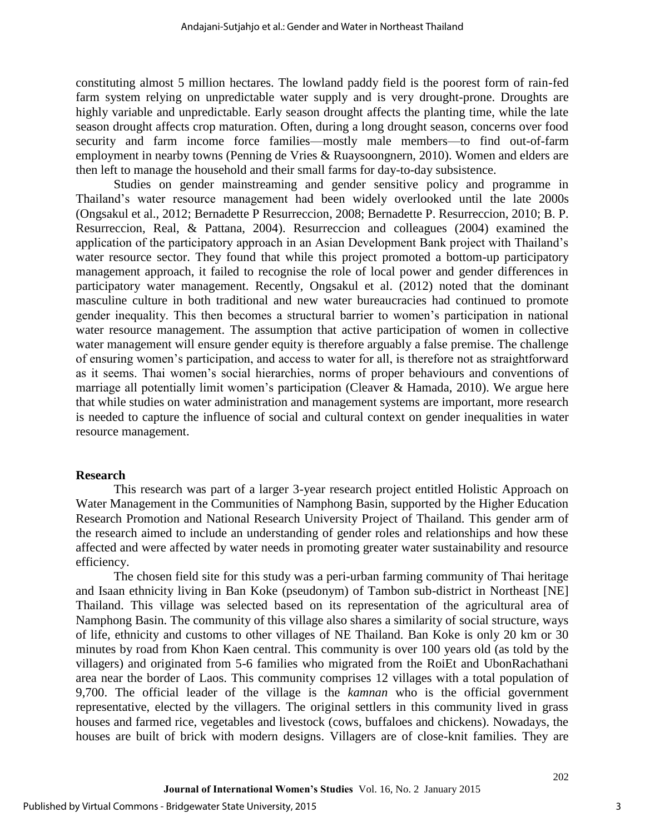constituting almost 5 million hectares. The lowland paddy field is the poorest form of rain-fed farm system relying on unpredictable water supply and is very drought-prone. Droughts are highly variable and unpredictable. Early season drought affects the planting time, while the late season drought affects crop maturation. Often, during a long drought season, concerns over food security and farm income force families—mostly male members—to find out-of-farm employment in nearby towns [\(Penning de Vries & Ruaysoongnern, 2010\)](#page-12-7). Women and elders are then left to manage the household and their small farms for day-to-day subsistence.

Studies on gender mainstreaming and gender sensitive policy and programme in Thailand's water resource management had been widely overlooked until the late 2000s [\(Ongsakul et al., 2012;](#page-12-6) [Bernadette P Resurreccion, 2008;](#page-12-2) [Bernadette P. Resurreccion, 2010;](#page-12-5) [B. P.](#page-12-8)  [Resurreccion, Real, & Pattana, 2004\)](#page-12-8). Resurreccion and colleagues (2004) examined the application of the participatory approach in an Asian Development Bank project with Thailand's water resource sector. They found that while this project promoted a bottom-up participatory management approach, it failed to recognise the role of local power and gender differences in participatory water management. Recently, Ongsakul et al. (2012) noted that the dominant masculine culture in both traditional and new water bureaucracies had continued to promote gender inequality. This then becomes a structural barrier to women's participation in national water resource management. The assumption that active participation of women in collective water management will ensure gender equity is therefore arguably a false premise. The challenge of ensuring women's participation, and access to water for all, is therefore not as straightforward as it seems. Thai women's social hierarchies, norms of proper behaviours and conventions of marriage all potentially limit women's participation [\(Cleaver & Hamada, 2010\)](#page-12-9). We argue here that while studies on water administration and management systems are important, more research is needed to capture the influence of social and cultural context on gender inequalities in water resource management.

#### **Research**

This research was part of a larger 3-year research project entitled Holistic Approach on Water Management in the Communities of Namphong Basin, supported by the Higher Education Research Promotion and National Research University Project of Thailand. This gender arm of the research aimed to include an understanding of gender roles and relationships and how these affected and were affected by water needs in promoting greater water sustainability and resource efficiency.

The chosen field site for this study was a peri-urban farming community of Thai heritage and Isaan ethnicity living in Ban Koke (pseudonym) of Tambon sub-district in Northeast [NE] Thailand. This village was selected based on its representation of the agricultural area of Namphong Basin. The community of this village also shares a similarity of social structure, ways of life, ethnicity and customs to other villages of NE Thailand. Ban Koke is only 20 km or 30 minutes by road from Khon Kaen central. This community is over 100 years old (as told by the villagers) and originated from 5-6 families who migrated from the RoiEt and UbonRachathani area near the border of Laos. This community comprises 12 villages with a total population of 9,700. The official leader of the village is the *kamnan* who is the official government representative, elected by the villagers. The original settlers in this community lived in grass houses and farmed rice, vegetables and livestock (cows, buffaloes and chickens). Nowadays, the houses are built of brick with modern designs. Villagers are of close-knit families. They are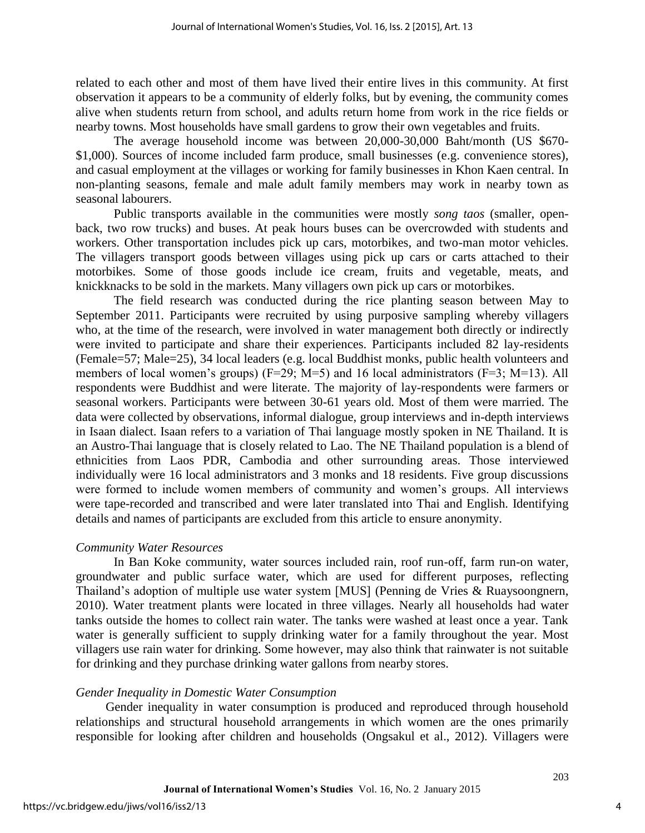related to each other and most of them have lived their entire lives in this community. At first observation it appears to be a community of elderly folks, but by evening, the community comes alive when students return from school, and adults return home from work in the rice fields or nearby towns. Most households have small gardens to grow their own vegetables and fruits.

The average household income was between 20,000-30,000 Baht/month (US \$670- \$1,000). Sources of income included farm produce, small businesses (e.g. convenience stores), and casual employment at the villages or working for family businesses in Khon Kaen central. In non-planting seasons, female and male adult family members may work in nearby town as seasonal labourers.

Public transports available in the communities were mostly *song taos* (smaller, openback, two row trucks) and buses. At peak hours buses can be overcrowded with students and workers. Other transportation includes pick up cars, motorbikes, and two-man motor vehicles. The villagers transport goods between villages using pick up cars or carts attached to their motorbikes. Some of those goods include ice cream, fruits and vegetable, meats, and knickknacks to be sold in the markets. Many villagers own pick up cars or motorbikes.

The field research was conducted during the rice planting season between May to September 2011. Participants were recruited by using purposive sampling whereby villagers who, at the time of the research, were involved in water management both directly or indirectly were invited to participate and share their experiences. Participants included 82 lay-residents (Female=57; Male=25), 34 local leaders (e.g. local Buddhist monks, public health volunteers and members of local women's groups) (F=29; M=5) and 16 local administrators (F=3; M=13). All respondents were Buddhist and were literate. The majority of lay-respondents were farmers or seasonal workers. Participants were between 30-61 years old. Most of them were married. The data were collected by observations, informal dialogue, group interviews and in-depth interviews in Isaan dialect. Isaan refers to a variation of Thai language mostly spoken in NE Thailand. It is an Austro-Thai language that is closely related to Lao. The NE Thailand population is a blend of ethnicities from Laos PDR, Cambodia and other surrounding areas. Those interviewed individually were 16 local administrators and 3 monks and 18 residents. Five group discussions were formed to include women members of community and women's groups. All interviews were tape-recorded and transcribed and were later translated into Thai and English. Identifying details and names of participants are excluded from this article to ensure anonymity.

### *Community Water Resources*

In Ban Koke community, water sources included rain, roof run-off, farm run-on water, groundwater and public surface water, which are used for different purposes, reflecting Thailand's adoption of multiple use water system [MUS] [\(Penning de Vries & Ruaysoongnern,](#page-12-7)  [2010\)](#page-12-7). Water treatment plants were located in three villages. Nearly all households had water tanks outside the homes to collect rain water. The tanks were washed at least once a year. Tank water is generally sufficient to supply drinking water for a family throughout the year. Most villagers use rain water for drinking. Some however, may also think that rainwater is not suitable for drinking and they purchase drinking water gallons from nearby stores.

#### *Gender Inequality in Domestic Water Consumption*

Gender inequality in water consumption is produced and reproduced through household relationships and structural household arrangements in which women are the ones primarily responsible for looking after children and households [\(Ongsakul et al., 2012\)](#page-12-6). Villagers were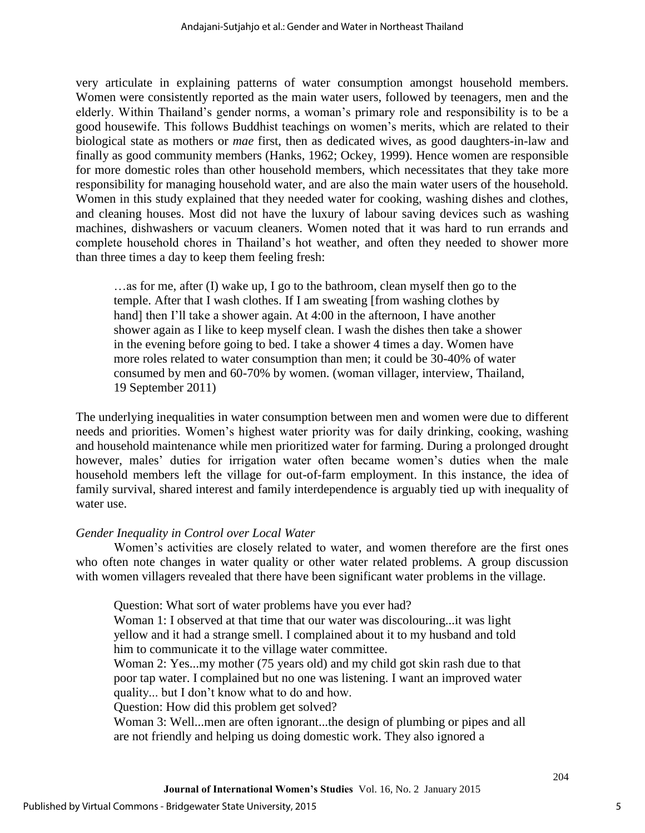very articulate in explaining patterns of water consumption amongst household members. Women were consistently reported as the main water users, followed by teenagers, men and the elderly. Within Thailand's gender norms, a woman's primary role and responsibility is to be a good housewife. This follows Buddhist teachings on women's merits, which are related to their biological state as mothers or *mae* first, then as dedicated wives, as good daughters-in-law and finally as good community members [\(Hanks, 1962;](#page-12-10) [Ockey, 1999\)](#page-12-11). Hence women are responsible for more domestic roles than other household members, which necessitates that they take more responsibility for managing household water, and are also the main water users of the household. Women in this study explained that they needed water for cooking, washing dishes and clothes, and cleaning houses. Most did not have the luxury of labour saving devices such as washing machines, dishwashers or vacuum cleaners. Women noted that it was hard to run errands and complete household chores in Thailand's hot weather, and often they needed to shower more than three times a day to keep them feeling fresh:

…as for me, after (I) wake up, I go to the bathroom, clean myself then go to the temple. After that I wash clothes. If I am sweating [from washing clothes by hand] then I'll take a shower again. At 4:00 in the afternoon, I have another shower again as I like to keep myself clean. I wash the dishes then take a shower in the evening before going to bed. I take a shower 4 times a day. Women have more roles related to water consumption than men; it could be 30-40% of water consumed by men and 60-70% by women. (woman villager, interview, Thailand, 19 September 2011)

The underlying inequalities in water consumption between men and women were due to different needs and priorities. Women's highest water priority was for daily drinking, cooking, washing and household maintenance while men prioritized water for farming. During a prolonged drought however, males' duties for irrigation water often became women's duties when the male household members left the village for out-of-farm employment. In this instance, the idea of family survival, shared interest and family interdependence is arguably tied up with inequality of water use.

# *Gender Inequality in Control over Local Water*

Women's activities are closely related to water, and women therefore are the first ones who often note changes in water quality or other water related problems. A group discussion with women villagers revealed that there have been significant water problems in the village.

Question: What sort of water problems have you ever had?

Woman 1: I observed at that time that our water was discolouring...it was light yellow and it had a strange smell. I complained about it to my husband and told him to communicate it to the village water committee.

Woman 2: Yes...my mother (75 years old) and my child got skin rash due to that poor tap water. I complained but no one was listening. I want an improved water quality... but I don't know what to do and how.

Question: How did this problem get solved?

Woman 3: Well...men are often ignorant...the design of plumbing or pipes and all are not friendly and helping us doing domestic work. They also ignored a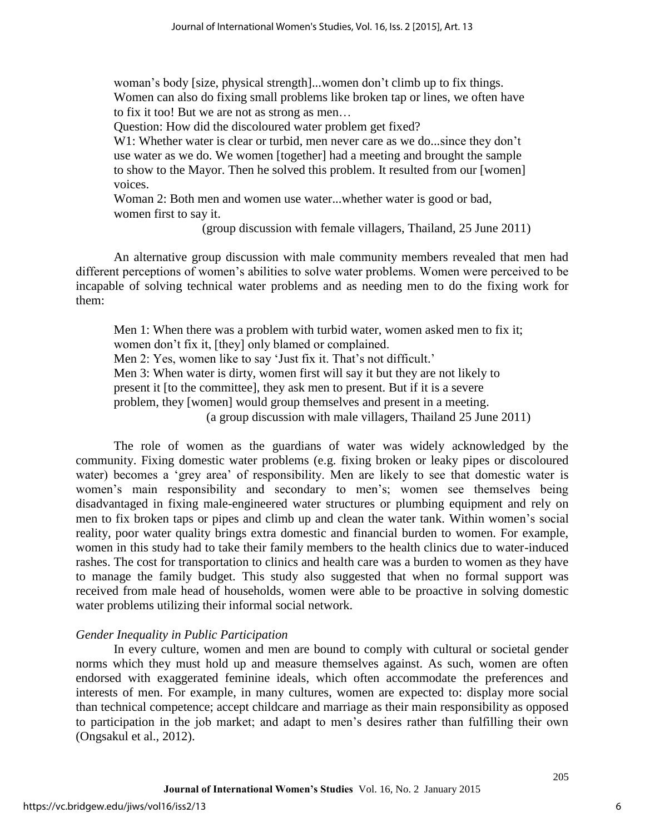woman's body [size, physical strength]...women don't climb up to fix things. Women can also do fixing small problems like broken tap or lines, we often have to fix it too! But we are not as strong as men…

Question: How did the discoloured water problem get fixed?

W1: Whether water is clear or turbid, men never care as we do...since they don't use water as we do. We women [together] had a meeting and brought the sample to show to the Mayor. Then he solved this problem. It resulted from our [women] voices.

Woman 2: Both men and women use water...whether water is good or bad, women first to say it.

(group discussion with female villagers, Thailand, 25 June 2011)

An alternative group discussion with male community members revealed that men had different perceptions of women's abilities to solve water problems. Women were perceived to be incapable of solving technical water problems and as needing men to do the fixing work for them:

Men 1: When there was a problem with turbid water, women asked men to fix it; women don't fix it, [they] only blamed or complained. Men 2: Yes, women like to say 'Just fix it. That's not difficult.' Men 3: When water is dirty, women first will say it but they are not likely to present it [to the committee], they ask men to present. But if it is a severe problem, they [women] would group themselves and present in a meeting. (a group discussion with male villagers, Thailand 25 June 2011)

The role of women as the guardians of water was widely acknowledged by the community. Fixing domestic water problems (e.g. fixing broken or leaky pipes or discoloured water) becomes a 'grey area' of responsibility. Men are likely to see that domestic water is women's main responsibility and secondary to men's; women see themselves being disadvantaged in fixing male-engineered water structures or plumbing equipment and rely on men to fix broken taps or pipes and climb up and clean the water tank. Within women's social reality, poor water quality brings extra domestic and financial burden to women. For example, women in this study had to take their family members to the health clinics due to water-induced rashes. The cost for transportation to clinics and health care was a burden to women as they have to manage the family budget. This study also suggested that when no formal support was received from male head of households, women were able to be proactive in solving domestic water problems utilizing their informal social network.

# *Gender Inequality in Public Participation*

In every culture, women and men are bound to comply with cultural or societal gender norms which they must hold up and measure themselves against. As such, women are often endorsed with exaggerated feminine ideals, which often accommodate the preferences and interests of men. For example, in many cultures, women are expected to: display more social than technical competence; accept childcare and marriage as their main responsibility as opposed to participation in the job market; and adapt to men's desires rather than fulfilling their own [\(Ongsakul et al., 2012\)](#page-12-6).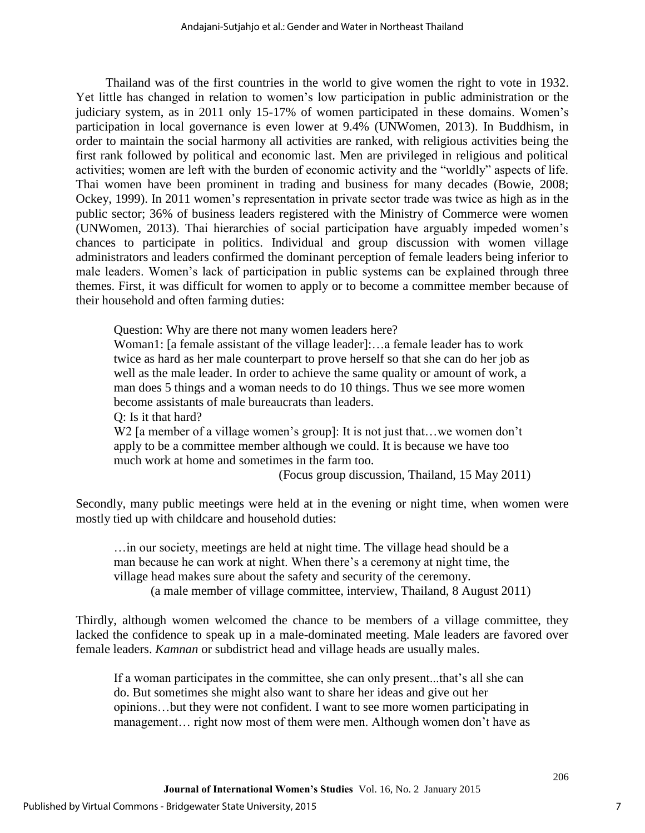Thailand was of the first countries in the world to give women the right to vote in 1932. Yet little has changed in relation to women's low participation in public administration or the judiciary system, as in 2011 only 15-17% of women participated in these domains. Women's participation in local governance is even lower at 9.4% [\(UNWomen, 2013\)](#page-13-2). In Buddhism, in order to maintain the social harmony all activities are ranked, with religious activities being the first rank followed by political and economic last. Men are privileged in religious and political activities; women are left with the burden of economic activity and the "worldly" aspects of life. Thai women have been prominent in trading and business for many decades [\(Bowie, 2008;](#page-12-12) [Ockey, 1999\)](#page-12-11). In 2011 women's representation in private sector trade was twice as high as in the public sector; 36% of business leaders registered with the Ministry of Commerce were women [\(UNWomen, 2013\)](#page-13-2). Thai hierarchies of social participation have arguably impeded women's chances to participate in politics. Individual and group discussion with women village administrators and leaders confirmed the dominant perception of female leaders being inferior to male leaders. Women's lack of participation in public systems can be explained through three themes. First, it was difficult for women to apply or to become a committee member because of their household and often farming duties:

Question: Why are there not many women leaders here?

Woman1: [a female assistant of the village leader]:...a female leader has to work twice as hard as her male counterpart to prove herself so that she can do her job as well as the male leader. In order to achieve the same quality or amount of work, a man does 5 things and a woman needs to do 10 things. Thus we see more women become assistants of male bureaucrats than leaders.

Q: Is it that hard?

W<sub>2</sub> [a member of a village women's group]: It is not just that...we women don't apply to be a committee member although we could. It is because we have too much work at home and sometimes in the farm too.

(Focus group discussion, Thailand, 15 May 2011)

Secondly, many public meetings were held at in the evening or night time, when women were mostly tied up with childcare and household duties:

…in our society, meetings are held at night time. The village head should be a man because he can work at night. When there's a ceremony at night time, the village head makes sure about the safety and security of the ceremony. (a male member of village committee, interview, Thailand, 8 August 2011)

Thirdly, although women welcomed the chance to be members of a village committee, they lacked the confidence to speak up in a male-dominated meeting. Male leaders are favored over female leaders. *Kamnan* or subdistrict head and village heads are usually males.

If a woman participates in the committee, she can only present...that's all she can do. But sometimes she might also want to share her ideas and give out her opinions…but they were not confident. I want to see more women participating in management… right now most of them were men. Although women don't have as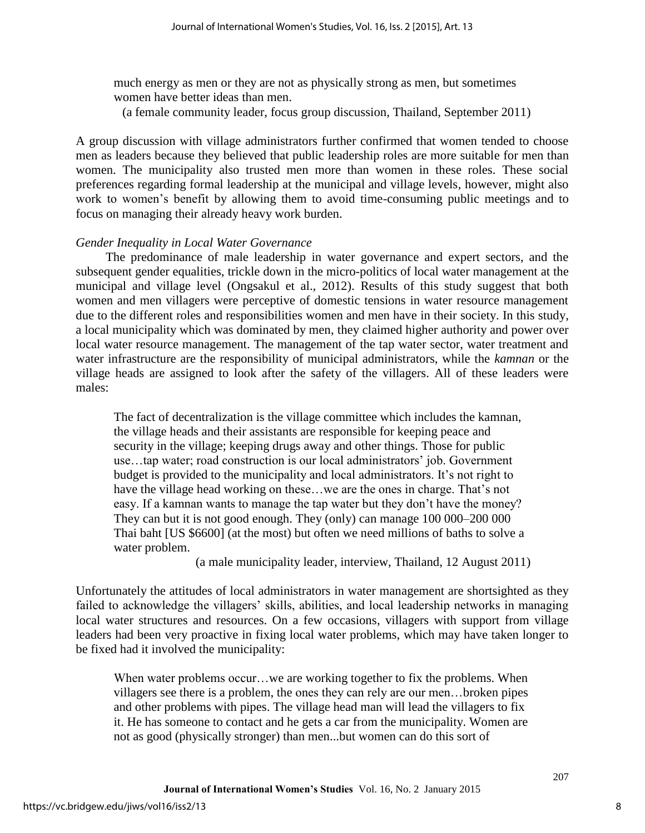much energy as men or they are not as physically strong as men, but sometimes women have better ideas than men.

(a female community leader, focus group discussion, Thailand, September 2011)

A group discussion with village administrators further confirmed that women tended to choose men as leaders because they believed that public leadership roles are more suitable for men than women. The municipality also trusted men more than women in these roles. These social preferences regarding formal leadership at the municipal and village levels, however, might also work to women's benefit by allowing them to avoid time-consuming public meetings and to focus on managing their already heavy work burden.

#### *Gender Inequality in Local Water Governance*

The predominance of male leadership in water governance and expert sectors, and the subsequent gender equalities, trickle down in the micro-politics of local water management at the municipal and village level [\(Ongsakul et al., 2012\)](#page-12-6). Results of this study suggest that both women and men villagers were perceptive of domestic tensions in water resource management due to the different roles and responsibilities women and men have in their society. In this study, a local municipality which was dominated by men, they claimed higher authority and power over local water resource management. The management of the tap water sector, water treatment and water infrastructure are the responsibility of municipal administrators, while the *kamnan* or the village heads are assigned to look after the safety of the villagers. All of these leaders were males:

The fact of decentralization is the village committee which includes the kamnan, the village heads and their assistants are responsible for keeping peace and security in the village; keeping drugs away and other things. Those for public use…tap water; road construction is our local administrators' job. Government budget is provided to the municipality and local administrators. It's not right to have the village head working on these…we are the ones in charge. That's not easy. If a kamnan wants to manage the tap water but they don't have the money? They can but it is not good enough. They (only) can manage 100 000–200 000 Thai baht [US \$6600] (at the most) but often we need millions of baths to solve a water problem.

(a male municipality leader, interview, Thailand, 12 August 2011)

Unfortunately the attitudes of local administrators in water management are shortsighted as they failed to acknowledge the villagers' skills, abilities, and local leadership networks in managing local water structures and resources. On a few occasions, villagers with support from village leaders had been very proactive in fixing local water problems, which may have taken longer to be fixed had it involved the municipality:

When water problems occur...we are working together to fix the problems. When villagers see there is a problem, the ones they can rely are our men…broken pipes and other problems with pipes. The village head man will lead the villagers to fix it. He has someone to contact and he gets a car from the municipality. Women are not as good (physically stronger) than men...but women can do this sort of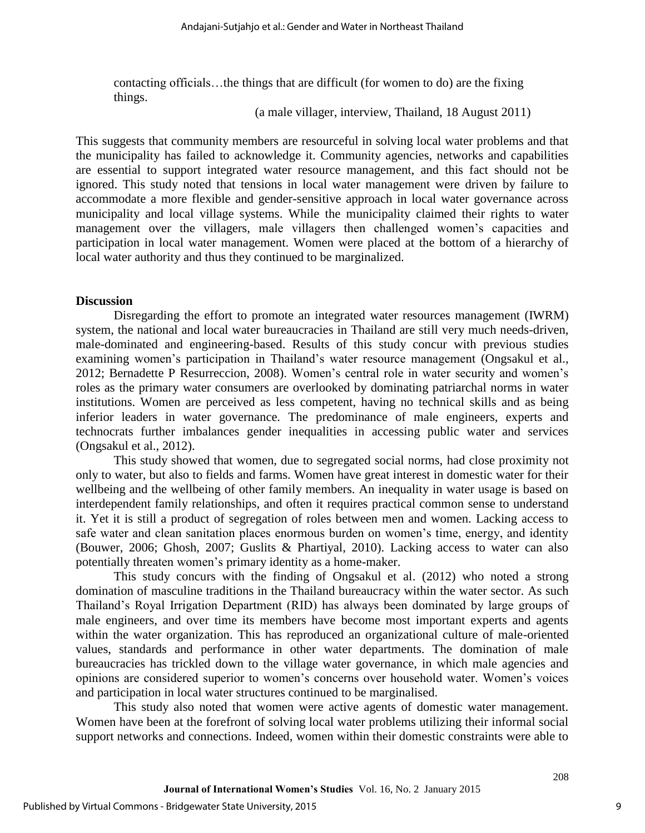contacting officials…the things that are difficult (for women to do) are the fixing things.

(a male villager, interview, Thailand, 18 August 2011)

This suggests that community members are resourceful in solving local water problems and that the municipality has failed to acknowledge it. Community agencies, networks and capabilities are essential to support integrated water resource management, and this fact should not be ignored. This study noted that tensions in local water management were driven by failure to accommodate a more flexible and gender-sensitive approach in local water governance across municipality and local village systems. While the municipality claimed their rights to water management over the villagers, male villagers then challenged women's capacities and participation in local water management. Women were placed at the bottom of a hierarchy of local water authority and thus they continued to be marginalized.

#### **Discussion**

Disregarding the effort to promote an integrated water resources management (IWRM) system, the national and local water bureaucracies in Thailand are still very much needs-driven, male-dominated and engineering-based. Results of this study concur with previous studies examining women's participation in Thailand's water resource management [\(Ongsakul et al.,](#page-12-6)  [2012;](#page-12-6) [Bernadette P Resurreccion, 2008\)](#page-12-2). Women's central role in water security and women's roles as the primary water consumers are overlooked by dominating patriarchal norms in water institutions. Women are perceived as less competent, having no technical skills and as being inferior leaders in water governance. The predominance of male engineers, experts and technocrats further imbalances gender inequalities in accessing public water and services [\(Ongsakul et al., 2012\)](#page-12-6).

This study showed that women, due to segregated social norms, had close proximity not only to water, but also to fields and farms. Women have great interest in domestic water for their wellbeing and the wellbeing of other family members. An inequality in water usage is based on interdependent family relationships, and often it requires practical common sense to understand it. Yet it is still a product of segregation of roles between men and women. Lacking access to safe water and clean sanitation places enormous burden on women's time, energy, and identity [\(Bouwer, 2006;](#page-12-3) [Ghosh, 2007;](#page-12-4) [Guslits & Phartiyal, 2010\)](#page-12-13). Lacking access to water can also potentially threaten women's primary identity as a home-maker.

This study concurs with the finding of Ongsakul et al. (2012) who noted a strong domination of masculine traditions in the Thailand bureaucracy within the water sector. As such Thailand's Royal Irrigation Department (RID) has always been dominated by large groups of male engineers, and over time its members have become most important experts and agents within the water organization. This has reproduced an organizational culture of male-oriented values, standards and performance in other water departments. The domination of male bureaucracies has trickled down to the village water governance, in which male agencies and opinions are considered superior to women's concerns over household water. Women's voices and participation in local water structures continued to be marginalised.

This study also noted that women were active agents of domestic water management. Women have been at the forefront of solving local water problems utilizing their informal social support networks and connections. Indeed, women within their domestic constraints were able to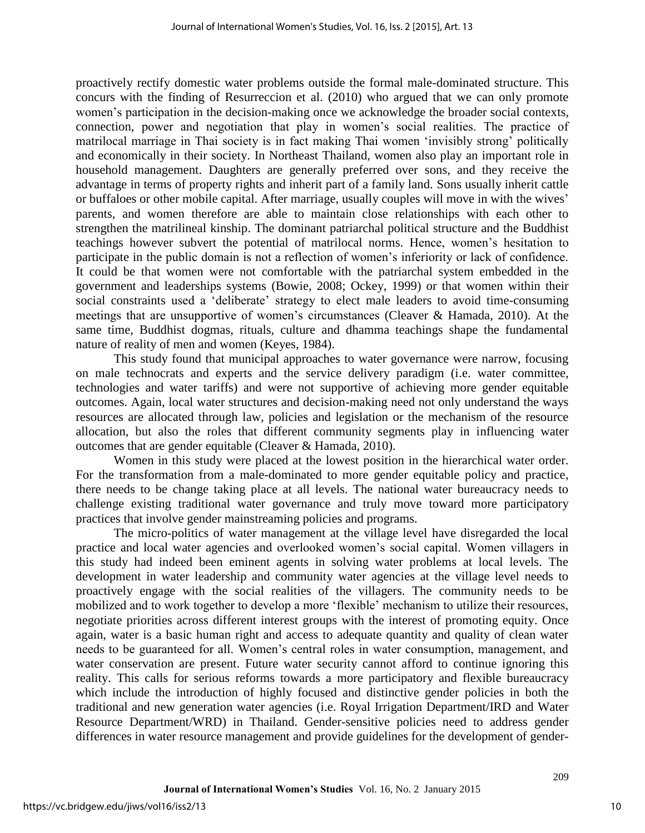proactively rectify domestic water problems outside the formal male-dominated structure. This concurs with the finding of Resurreccion et al. (2010) who argued that we can only promote women's participation in the decision-making once we acknowledge the broader social contexts, connection, power and negotiation that play in women's social realities. The practice of matrilocal marriage in Thai society is in fact making Thai women 'invisibly strong' politically and economically in their society. In Northeast Thailand, women also play an important role in household management. Daughters are generally preferred over sons, and they receive the advantage in terms of property rights and inherit part of a family land. Sons usually inherit cattle or buffaloes or other mobile capital. After marriage, usually couples will move in with the wives' parents, and women therefore are able to maintain close relationships with each other to strengthen the matrilineal kinship. The dominant patriarchal political structure and the Buddhist teachings however subvert the potential of matrilocal norms. Hence, women's hesitation to participate in the public domain is not a reflection of women's inferiority or lack of confidence. It could be that women were not comfortable with the patriarchal system embedded in the government and leaderships systems [\(Bowie, 2008;](#page-12-12) [Ockey, 1999\)](#page-12-11) or that women within their social constraints used a 'deliberate' strategy to elect male leaders to avoid time-consuming meetings that are unsupportive of women's circumstances [\(Cleaver & Hamada, 2010\)](#page-12-9). At the same time, Buddhist dogmas, rituals, culture and dhamma teachings shape the fundamental nature of reality of men and women [\(Keyes, 1984\)](#page-12-14).

This study found that municipal approaches to water governance were narrow, focusing on male technocrats and experts and the service delivery paradigm (i.e. water committee, technologies and water tariffs) and were not supportive of achieving more gender equitable outcomes. Again, local water structures and decision-making need not only understand the ways resources are allocated through law, policies and legislation or the mechanism of the resource allocation, but also the roles that different community segments play in influencing water outcomes that are gender equitable [\(Cleaver & Hamada, 2010\)](#page-12-9).

Women in this study were placed at the lowest position in the hierarchical water order. For the transformation from a male-dominated to more gender equitable policy and practice, there needs to be change taking place at all levels. The national water bureaucracy needs to challenge existing traditional water governance and truly move toward more participatory practices that involve gender mainstreaming policies and programs.

The micro-politics of water management at the village level have disregarded the local practice and local water agencies and overlooked women's social capital. Women villagers in this study had indeed been eminent agents in solving water problems at local levels. The development in water leadership and community water agencies at the village level needs to proactively engage with the social realities of the villagers. The community needs to be mobilized and to work together to develop a more 'flexible' mechanism to utilize their resources, negotiate priorities across different interest groups with the interest of promoting equity. Once again, water is a basic human right and access to adequate quantity and quality of clean water needs to be guaranteed for all. Women's central roles in water consumption, management, and water conservation are present. Future water security cannot afford to continue ignoring this reality. This calls for serious reforms towards a more participatory and flexible bureaucracy which include the introduction of highly focused and distinctive gender policies in both the traditional and new generation water agencies (i.e. Royal Irrigation Department/IRD and Water Resource Department/WRD) in Thailand. Gender-sensitive policies need to address gender differences in water resource management and provide guidelines for the development of gender-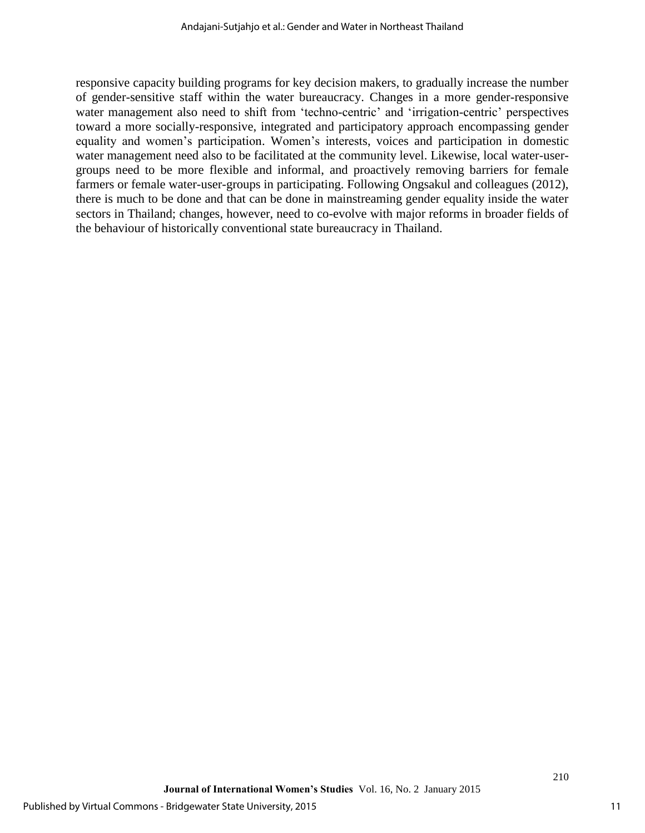responsive capacity building programs for key decision makers, to gradually increase the number of gender-sensitive staff within the water bureaucracy. Changes in a more gender-responsive water management also need to shift from 'techno-centric' and 'irrigation-centric' perspectives toward a more socially-responsive, integrated and participatory approach encompassing gender equality and women's participation. Women's interests, voices and participation in domestic water management need also to be facilitated at the community level. Likewise, local water-usergroups need to be more flexible and informal, and proactively removing barriers for female farmers or female water-user-groups in participating. Following Ongsakul and colleagues (2012), there is much to be done and that can be done in mainstreaming gender equality inside the water sectors in Thailand; changes, however, need to co-evolve with major reforms in broader fields of the behaviour of historically conventional state bureaucracy in Thailand.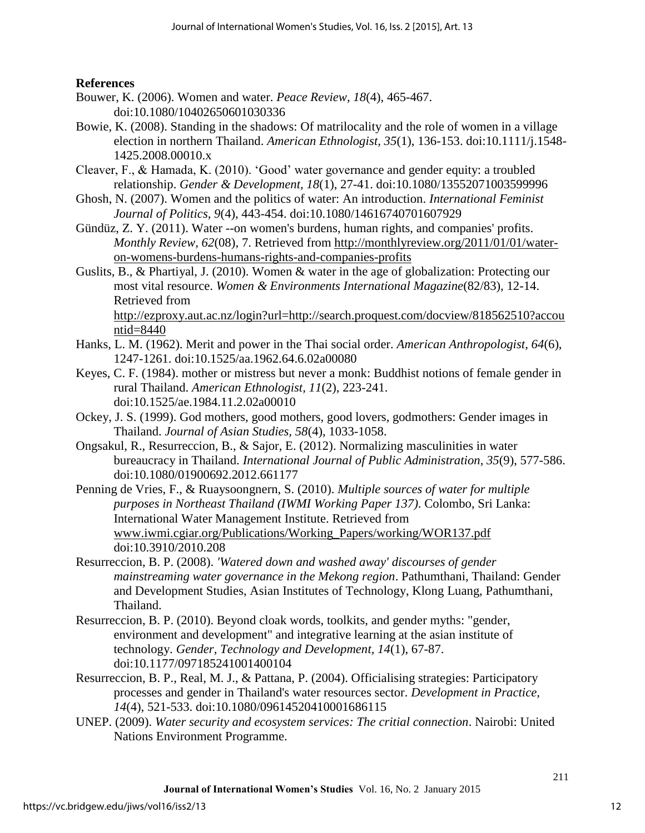## **References**

- <span id="page-12-3"></span>Bouwer, K. (2006). Women and water. *Peace Review, 18*(4), 465-467. doi:10.1080/10402650601030336
- <span id="page-12-12"></span>Bowie, K. (2008). Standing in the shadows: Of matrilocality and the role of women in a village election in northern Thailand. *American Ethnologist, 35*(1), 136-153. doi:10.1111/j.1548- 1425.2008.00010.x
- <span id="page-12-9"></span>Cleaver, F., & Hamada, K. (2010). 'Good' water governance and gender equity: a troubled relationship. *Gender & Development, 18*(1), 27-41. doi:10.1080/13552071003599996
- <span id="page-12-4"></span>Ghosh, N. (2007). Women and the politics of water: An introduction. *International Feminist Journal of Politics, 9*(4), 443-454. doi:10.1080/14616740701607929
- <span id="page-12-1"></span>Gündüz, Z. Y. (2011). Water --on women's burdens, human rights, and companies' profits. *Monthly Review, 62*(08)*,* 7. Retrieved from [http://monthlyreview.org/2011/01/01/water](http://monthlyreview.org/2011/01/01/water-on-womens-burdens-humans-rights-and-companies-profits)[on-womens-burdens-humans-rights-and-companies-profits](http://monthlyreview.org/2011/01/01/water-on-womens-burdens-humans-rights-and-companies-profits)
- <span id="page-12-13"></span>Guslits, B., & Phartiyal, J. (2010). Women & water in the age of globalization: Protecting our most vital resource. *Women & Environments International Magazine*(82/83)*,* 12-14. Retrieved from [http://ezproxy.aut.ac.nz/login?url=http://search.proquest.com/docview/818562510?accou](http://ezproxy.aut.ac.nz/login?url=http://search.proquest.com/docview/818562510?accountid=8440)

[ntid=8440](http://ezproxy.aut.ac.nz/login?url=http://search.proquest.com/docview/818562510?accountid=8440)

- <span id="page-12-10"></span>Hanks, L. M. (1962). Merit and power in the Thai social order. *American Anthropologist, 64*(6), 1247-1261. doi:10.1525/aa.1962.64.6.02a00080
- <span id="page-12-14"></span>Keyes, C. F. (1984). mother or mistress but never a monk: Buddhist notions of female gender in rural Thailand. *American Ethnologist, 11*(2), 223-241. doi:10.1525/ae.1984.11.2.02a00010
- <span id="page-12-11"></span>Ockey, J. S. (1999). God mothers, good mothers, good lovers, godmothers: Gender images in Thailand. *Journal of Asian Studies, 58*(4), 1033-1058.
- <span id="page-12-6"></span>Ongsakul, R., Resurreccion, B., & Sajor, E. (2012). Normalizing masculinities in water bureaucracy in Thailand. *International Journal of Public Administration, 35*(9), 577-586. doi:10.1080/01900692.2012.661177

<span id="page-12-7"></span>Penning de Vries, F., & Ruaysoongnern, S. (2010). *Multiple sources of water for multiple purposes in Northeast Thailand (IWMI Working Paper 137)*. Colombo, Sri Lanka: International Water Management Institute. Retrieved from [www.iwmi.cgiar.org/Publications/Working\\_Papers/working/WOR137.pdf](http://www.iwmi.cgiar.org/Publications/Working_Papers/working/WOR137.pdf) doi:10.3910/2010.208

- <span id="page-12-2"></span>Resurreccion, B. P. (2008). *'Watered down and washed away' discourses of gender mainstreaming water governance in the Mekong region*. Pathumthani, Thailand: Gender and Development Studies, Asian Institutes of Technology, Klong Luang, Pathumthani, Thailand.
- <span id="page-12-5"></span>Resurreccion, B. P. (2010). Beyond cloak words, toolkits, and gender myths: "gender, environment and development" and integrative learning at the asian institute of technology. *Gender, Technology and Development, 14*(1), 67-87. doi:10.1177/097185241001400104
- <span id="page-12-8"></span>Resurreccion, B. P., Real, M. J., & Pattana, P. (2004). Officialising strategies: Participatory processes and gender in Thailand's water resources sector. *Development in Practice, 14*(4), 521-533. doi:10.1080/09614520410001686115
- <span id="page-12-0"></span>UNEP. (2009). *Water security and ecosystem services: The critial connection*. Nairobi: United Nations Environment Programme.